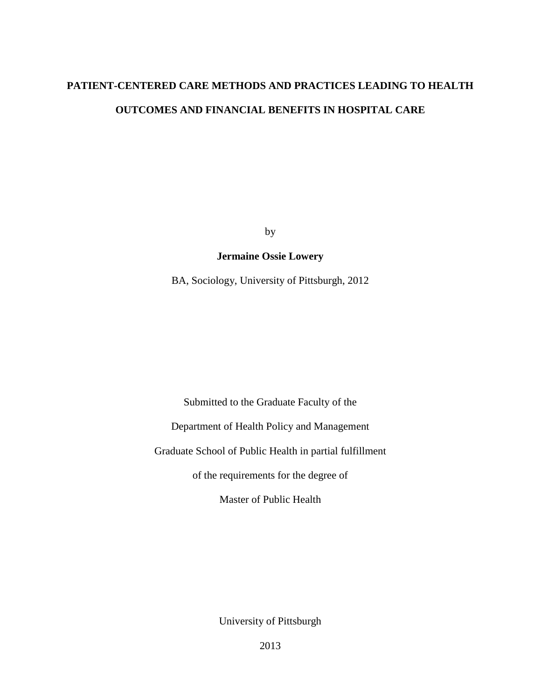## **PATIENT-CENTERED CARE METHODS AND PRACTICES LEADING TO HEALTH OUTCOMES AND FINANCIAL BENEFITS IN HOSPITAL CARE**

by

#### **Jermaine Ossie Lowery**

BA, Sociology, University of Pittsburgh, 2012

Submitted to the Graduate Faculty of the

Department of Health Policy and Management

Graduate School of Public Health in partial fulfillment

of the requirements for the degree of

Master of Public Health

University of Pittsburgh

2013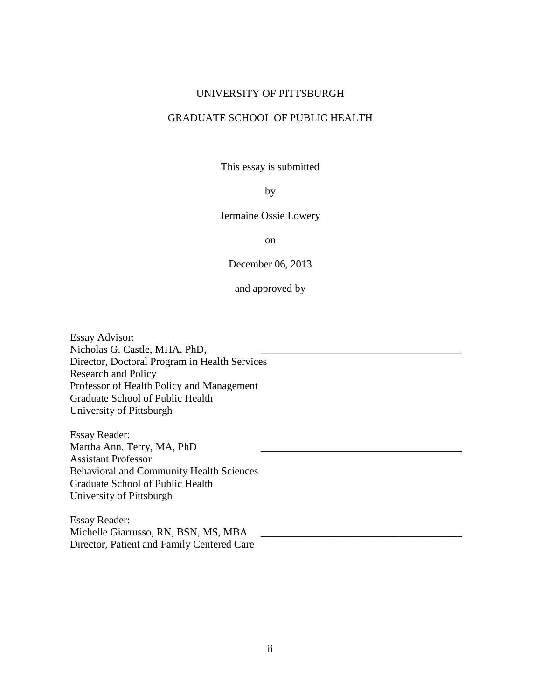#### UNIVERSITY OF PITTSBURGH

#### GRADUATE SCHOOL OF PUBLIC HEALTH

This essay is submitted

#### by

Jermaine Ossie Lowery

on

December 06, 2013

and approved by

Essay Advisor: Nicholas G. Castle, MHA, PhD, Director, Doctoral Program in Health Services Research and Policy Professor of Health Policy and Management Graduate School of Public Health University of Pittsburgh

Essay Reader: Martha Ann. Terry, MA, PhD Assistant Professor Behavioral and Community Health Sciences Graduate School of Public Health University of Pittsburgh

Essay Reader: Michelle Giarrusso, RN, BSN, MS, MBA Director, Patient and Family Centered Care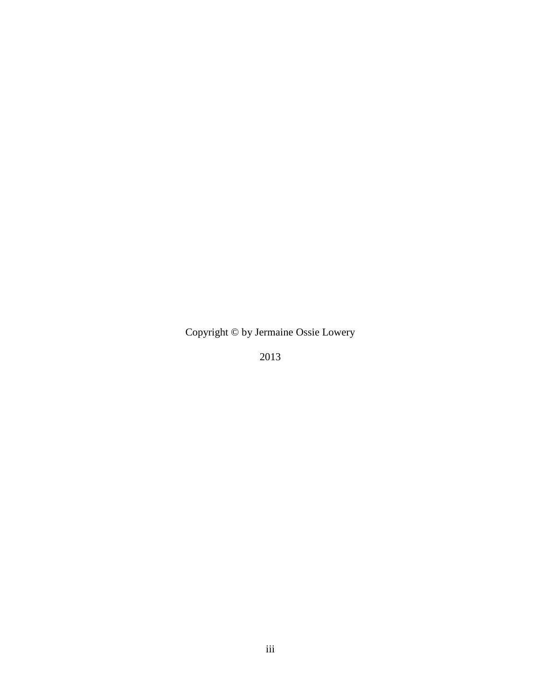Copyright © by Jermaine Ossie Lowery

2013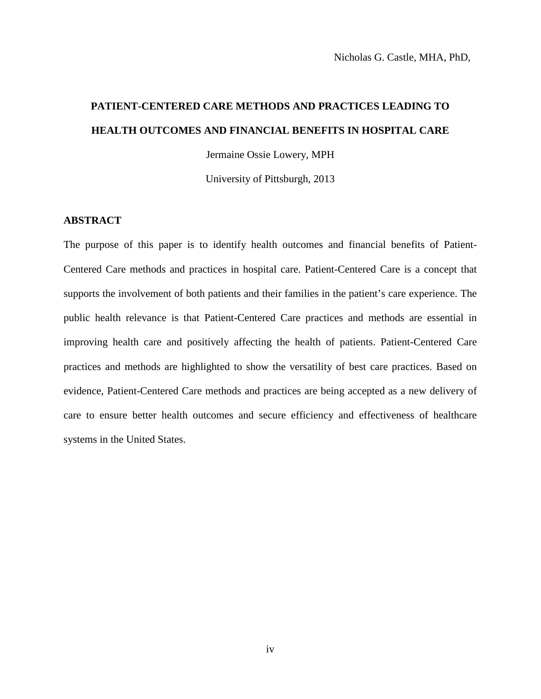# **PATIENT-CENTERED CARE METHODS AND PRACTICES LEADING TO HEALTH OUTCOMES AND FINANCIAL BENEFITS IN HOSPITAL CARE**

Jermaine Ossie Lowery, MPH

University of Pittsburgh, 2013

#### **ABSTRACT**

The purpose of this paper is to identify health outcomes and financial benefits of Patient-Centered Care methods and practices in hospital care. Patient-Centered Care is a concept that supports the involvement of both patients and their families in the patient's care experience. The public health relevance is that Patient-Centered Care practices and methods are essential in improving health care and positively affecting the health of patients. Patient-Centered Care practices and methods are highlighted to show the versatility of best care practices. Based on evidence, Patient-Centered Care methods and practices are being accepted as a new delivery of care to ensure better health outcomes and secure efficiency and effectiveness of healthcare systems in the United States.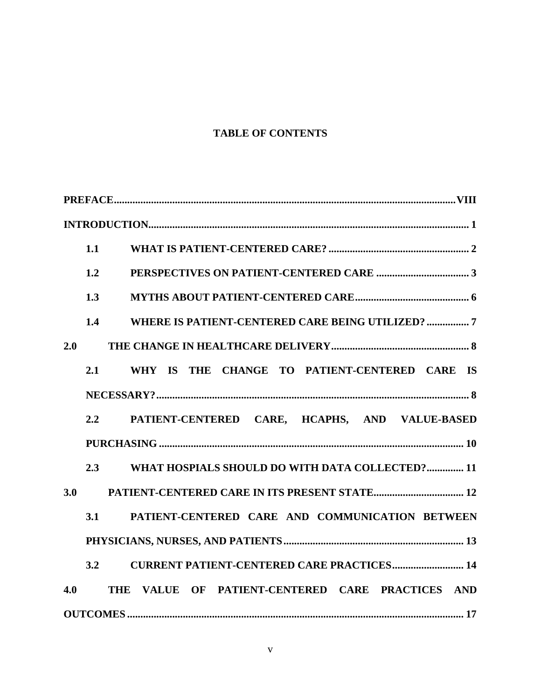## **TABLE OF CONTENTS**

| 1.1                                                               |
|-------------------------------------------------------------------|
| 1.2                                                               |
| 1.3                                                               |
| WHERE IS PATIENT-CENTERED CARE BEING UTILIZED?  7<br>1.4          |
| 2.0                                                               |
| WHY IS THE CHANGE TO PATIENT-CENTERED CARE IS<br>2.1              |
|                                                                   |
| PATIENT-CENTERED CARE, HCAPHS, AND VALUE-BASED<br>2.2             |
|                                                                   |
| WHAT HOSPIALS SHOULD DO WITH DATA COLLECTED? 11<br>2.3            |
| 3.0                                                               |
| PATIENT-CENTERED CARE AND COMMUNICATION BETWEEN<br>3.1            |
|                                                                   |
| <b>CURRENT PATIENT-CENTERED CARE PRACTICES 14</b><br>3.2          |
| VALUE OF PATIENT-CENTERED CARE PRACTICES AND<br>4.0<br><b>THE</b> |
|                                                                   |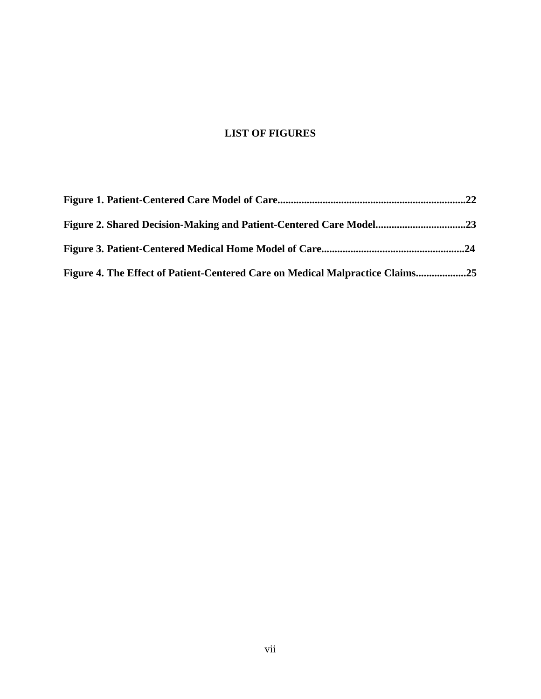## **LIST OF FIGURES**

| Figure 4. The Effect of Patient-Centered Care on Medical Malpractice Claims25 |  |
|-------------------------------------------------------------------------------|--|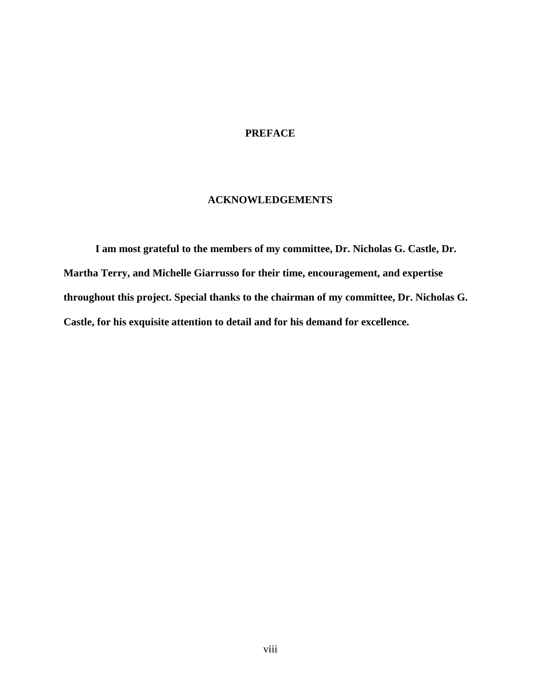#### **PREFACE**

#### **ACKNOWLEDGEMENTS**

**I am most grateful to the members of my committee, Dr. Nicholas G. Castle, Dr. Martha Terry, and Michelle Giarrusso for their time, encouragement, and expertise throughout this project. Special thanks to the chairman of my committee, Dr. Nicholas G. Castle, for his exquisite attention to detail and for his demand for excellence.**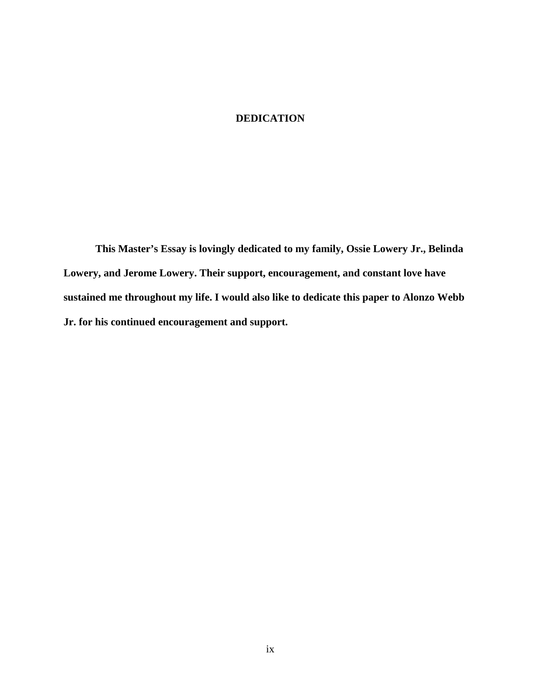#### **DEDICATION**

**This Master's Essay is lovingly dedicated to my family, Ossie Lowery Jr., Belinda Lowery, and Jerome Lowery. Their support, encouragement, and constant love have sustained me throughout my life. I would also like to dedicate this paper to Alonzo Webb Jr. for his continued encouragement and support.**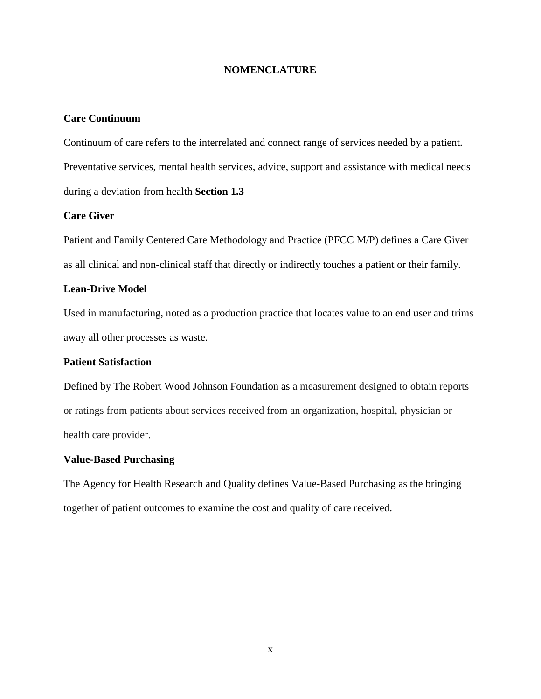#### **NOMENCLATURE**

#### **Care Continuum**

Continuum of care refers to the interrelated and connect range of services needed by a patient. Preventative services, mental health services, advice, support and assistance with medical needs during a deviation from health **Section 1.3**

#### **Care Giver**

Patient and Family Centered Care Methodology and Practice (PFCC M/P) defines a Care Giver as all clinical and non-clinical staff that directly or indirectly touches a patient or their family.

#### **Lean-Drive Model**

Used in manufacturing, noted as a production practice that locates value to an end user and trims away all other processes as waste.

#### **Patient Satisfaction**

Defined by The Robert Wood Johnson Foundation as a measurement designed to obtain reports or ratings from patients about services received from an organization, hospital, physician or health care provider.

#### **Value-Based Purchasing**

The Agency for Health Research and Quality defines Value-Based Purchasing as the bringing together of patient outcomes to examine the cost and quality of care received.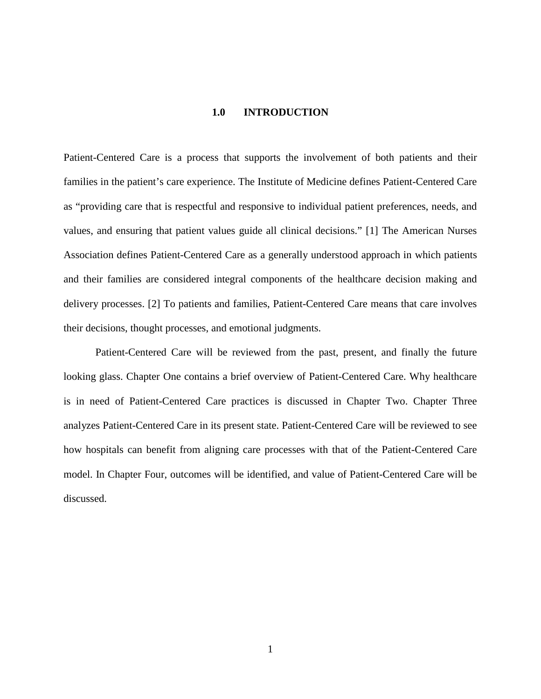#### **1.0 INTRODUCTION**

<span id="page-10-0"></span>Patient-Centered Care is a process that supports the involvement of both patients and their families in the patient's care experience. The Institute of Medicine defines Patient-Centered Care as "providing care that is respectful and responsive to individual patient preferences, needs, and values, and ensuring that patient values guide all clinical decisions." [1] The American Nurses Association defines Patient-Centered Care as a generally understood approach in which patients and their families are considered integral components of the healthcare decision making and delivery processes. [2] To patients and families, Patient-Centered Care means that care involves their decisions, thought processes, and emotional judgments.

Patient-Centered Care will be reviewed from the past, present, and finally the future looking glass. Chapter One contains a brief overview of Patient-Centered Care. Why healthcare is in need of Patient-Centered Care practices is discussed in Chapter Two. Chapter Three analyzes Patient-Centered Care in its present state. Patient-Centered Care will be reviewed to see how hospitals can benefit from aligning care processes with that of the Patient-Centered Care model. In Chapter Four, outcomes will be identified, and value of Patient-Centered Care will be discussed.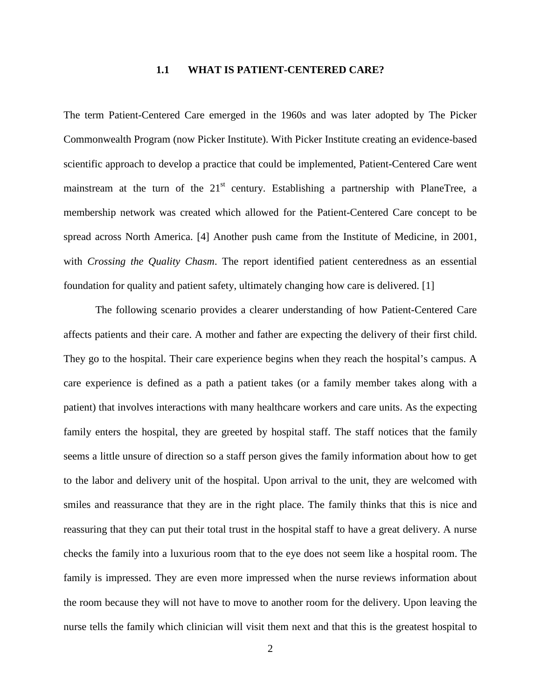#### **1.1 WHAT IS PATIENT-CENTERED CARE?**

<span id="page-11-0"></span>The term Patient-Centered Care emerged in the 1960s and was later adopted by The Picker Commonwealth Program (now Picker Institute). With Picker Institute creating an evidence-based scientific approach to develop a practice that could be implemented, Patient-Centered Care went mainstream at the turn of the  $21<sup>st</sup>$  century. Establishing a partnership with PlaneTree, a membership network was created which allowed for the Patient-Centered Care concept to be spread across North America. [4] Another push came from the Institute of Medicine, in 2001, with *Crossing the Quality Chasm*. The report identified patient centeredness as an essential foundation for quality and patient safety, ultimately changing how care is delivered. [1]

The following scenario provides a clearer understanding of how Patient-Centered Care affects patients and their care. A mother and father are expecting the delivery of their first child. They go to the hospital. Their care experience begins when they reach the hospital's campus. A care experience is defined as a path a patient takes (or a family member takes along with a patient) that involves interactions with many healthcare workers and care units. As the expecting family enters the hospital, they are greeted by hospital staff. The staff notices that the family seems a little unsure of direction so a staff person gives the family information about how to get to the labor and delivery unit of the hospital. Upon arrival to the unit, they are welcomed with smiles and reassurance that they are in the right place. The family thinks that this is nice and reassuring that they can put their total trust in the hospital staff to have a great delivery. A nurse checks the family into a luxurious room that to the eye does not seem like a hospital room. The family is impressed. They are even more impressed when the nurse reviews information about the room because they will not have to move to another room for the delivery. Upon leaving the nurse tells the family which clinician will visit them next and that this is the greatest hospital to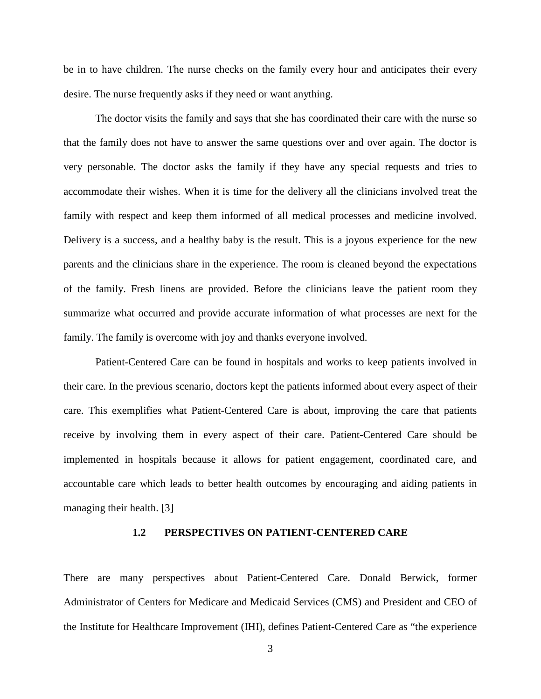be in to have children. The nurse checks on the family every hour and anticipates their every desire. The nurse frequently asks if they need or want anything.

The doctor visits the family and says that she has coordinated their care with the nurse so that the family does not have to answer the same questions over and over again. The doctor is very personable. The doctor asks the family if they have any special requests and tries to accommodate their wishes. When it is time for the delivery all the clinicians involved treat the family with respect and keep them informed of all medical processes and medicine involved. Delivery is a success, and a healthy baby is the result. This is a joyous experience for the new parents and the clinicians share in the experience. The room is cleaned beyond the expectations of the family. Fresh linens are provided. Before the clinicians leave the patient room they summarize what occurred and provide accurate information of what processes are next for the family. The family is overcome with joy and thanks everyone involved.

Patient-Centered Care can be found in hospitals and works to keep patients involved in their care. In the previous scenario, doctors kept the patients informed about every aspect of their care. This exemplifies what Patient-Centered Care is about, improving the care that patients receive by involving them in every aspect of their care. Patient-Centered Care should be implemented in hospitals because it allows for patient engagement, coordinated care, and accountable care which leads to better health outcomes by encouraging and aiding patients in managing their health. [3]

#### **1.2 PERSPECTIVES ON PATIENT-CENTERED CARE**

<span id="page-12-0"></span>There are many perspectives about Patient-Centered Care. Donald Berwick, former Administrator of Centers for Medicare and Medicaid Services (CMS) and President and CEO of the Institute for Healthcare Improvement (IHI), defines Patient-Centered Care as "the experience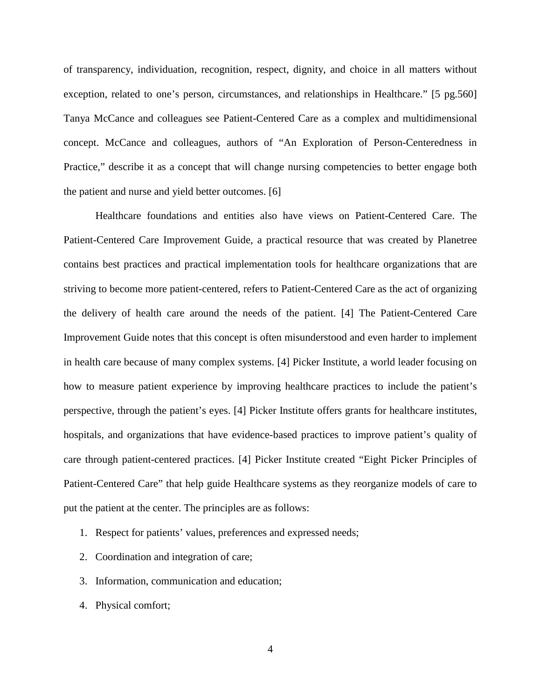of transparency, individuation, recognition, respect, dignity, and choice in all matters without exception, related to one's person, circumstances, and relationships in Healthcare." [5 pg.560] Tanya McCance and colleagues see Patient-Centered Care as a complex and multidimensional concept. McCance and colleagues, authors of "An Exploration of Person-Centeredness in Practice," describe it as a concept that will change nursing competencies to better engage both the patient and nurse and yield better outcomes. [6]

Healthcare foundations and entities also have views on Patient-Centered Care. The Patient-Centered Care Improvement Guide, a practical resource that was created by Planetree contains best practices and practical implementation tools for healthcare organizations that are striving to become more patient-centered, refers to Patient-Centered Care as the act of organizing the delivery of health care around the needs of the patient. [4] The Patient-Centered Care Improvement Guide notes that this concept is often misunderstood and even harder to implement in health care because of many complex systems. [4] Picker Institute, a world leader focusing on how to measure patient experience by improving healthcare practices to include the patient's perspective, through the patient's eyes. [4] Picker Institute offers grants for healthcare institutes, hospitals, and organizations that have evidence-based practices to improve patient's quality of care through patient-centered practices. [4] Picker Institute created "Eight Picker Principles of Patient-Centered Care" that help guide Healthcare systems as they reorganize models of care to put the patient at the center. The principles are as follows:

- 1. Respect for patients' values, preferences and expressed needs;
- 2. Coordination and integration of care;
- 3. Information, communication and education;
- 4. Physical comfort;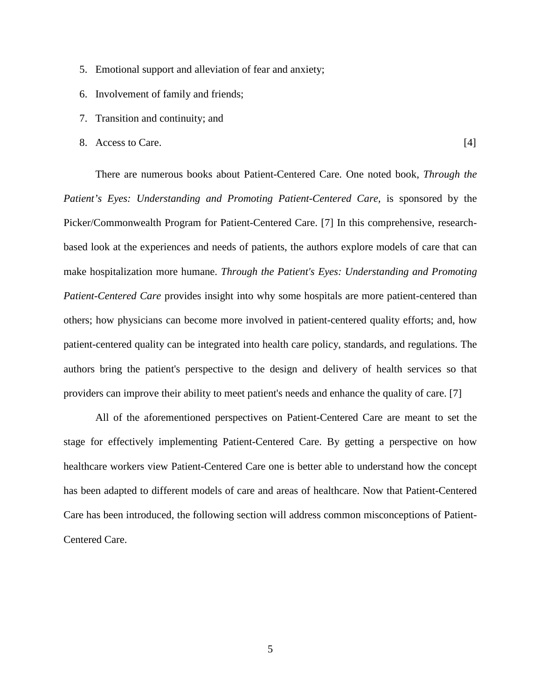- 5. Emotional support and alleviation of fear and anxiety;
- 6. Involvement of family and friends;
- 7. Transition and continuity; and
- 8. Access to Care. [4]

There are numerous books about Patient-Centered Care. One noted book, *Through the Patient's Eyes: Understanding and Promoting Patient-Centered Care,* is sponsored by the Picker/Commonwealth Program for Patient-Centered Care. [7] In this comprehensive, researchbased look at the experiences and needs of patients, the authors explore models of care that can make hospitalization more humane. *Through the Patient's Eyes: Understanding and Promoting Patient-Centered Care* provides insight into why some hospitals are more patient-centered than others; how physicians can become more involved in patient-centered quality efforts; and, how patient-centered quality can be integrated into health care policy, standards, and regulations. The authors bring the patient's perspective to the design and delivery of health services so that providers can improve their ability to meet patient's needs and enhance the quality of care. [7]

All of the aforementioned perspectives on Patient-Centered Care are meant to set the stage for effectively implementing Patient-Centered Care. By getting a perspective on how healthcare workers view Patient-Centered Care one is better able to understand how the concept has been adapted to different models of care and areas of healthcare. Now that Patient-Centered Care has been introduced, the following section will address common misconceptions of Patient-Centered Care.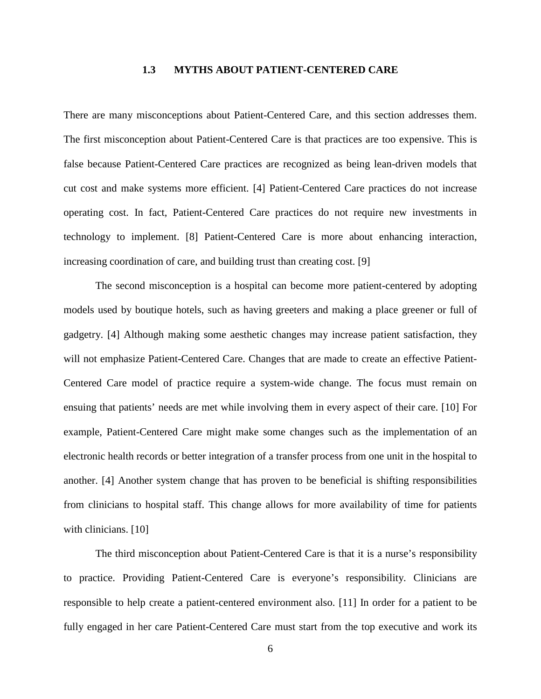#### **1.3 MYTHS ABOUT PATIENT-CENTERED CARE**

<span id="page-15-0"></span>There are many misconceptions about Patient-Centered Care, and this section addresses them. The first misconception about Patient-Centered Care is that practices are too expensive. This is false because Patient-Centered Care practices are recognized as being lean-driven models that cut cost and make systems more efficient. [4] Patient-Centered Care practices do not increase operating cost. In fact, Patient-Centered Care practices do not require new investments in technology to implement. [8] Patient-Centered Care is more about enhancing interaction, increasing coordination of care, and building trust than creating cost. [9]

The second misconception is a hospital can become more patient-centered by adopting models used by boutique hotels, such as having greeters and making a place greener or full of gadgetry. [4] Although making some aesthetic changes may increase patient satisfaction, they will not emphasize Patient-Centered Care. Changes that are made to create an effective Patient-Centered Care model of practice require a system-wide change. The focus must remain on ensuing that patients' needs are met while involving them in every aspect of their care. [10] For example, Patient-Centered Care might make some changes such as the implementation of an electronic health records or better integration of a transfer process from one unit in the hospital to another. [4] Another system change that has proven to be beneficial is shifting responsibilities from clinicians to hospital staff. This change allows for more availability of time for patients with clinicians. [10]

The third misconception about Patient-Centered Care is that it is a nurse's responsibility to practice. Providing Patient-Centered Care is everyone's responsibility. Clinicians are responsible to help create a patient-centered environment also. [11] In order for a patient to be fully engaged in her care Patient-Centered Care must start from the top executive and work its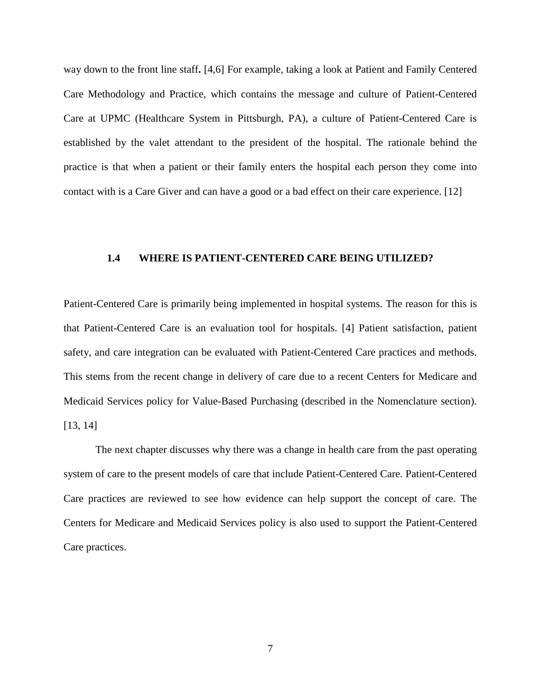way down to the front line staff**.** [4,6] For example, taking a look at Patient and Family Centered Care Methodology and Practice, which contains the message and culture of Patient-Centered Care at UPMC (Healthcare System in Pittsburgh, PA), a culture of Patient-Centered Care is established by the valet attendant to the president of the hospital. The rationale behind the practice is that when a patient or their family enters the hospital each person they come into contact with is a Care Giver and can have a good or a bad effect on their care experience. [12]

#### <span id="page-16-0"></span>**1.4 WHERE IS PATIENT-CENTERED CARE BEING UTILIZED?**

Patient-Centered Care is primarily being implemented in hospital systems. The reason for this is that Patient-Centered Care is an evaluation tool for hospitals. [4] Patient satisfaction, patient safety, and care integration can be evaluated with Patient-Centered Care practices and methods. This stems from the recent change in delivery of care due to a recent Centers for Medicare and Medicaid Services policy for Value-Based Purchasing (described in the Nomenclature section). [13, 14]

The next chapter discusses why there was a change in health care from the past operating system of care to the present models of care that include Patient-Centered Care. Patient-Centered Care practices are reviewed to see how evidence can help support the concept of care. The Centers for Medicare and Medicaid Services policy is also used to support the Patient-Centered Care practices.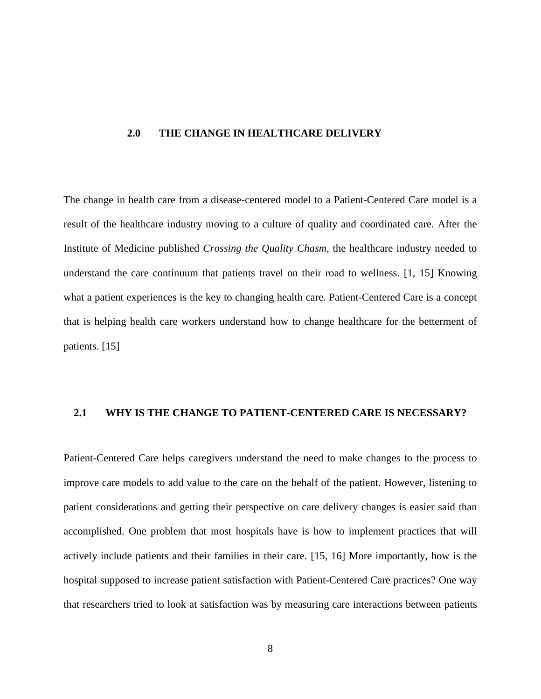#### <span id="page-17-0"></span>**2.0 THE CHANGE IN HEALTHCARE DELIVERY**

The change in health care from a disease-centered model to a Patient-Centered Care model is a result of the healthcare industry moving to a culture of quality and coordinated care. After the Institute of Medicine published *Crossing the Quality Chasm*, the healthcare industry needed to understand the care continuum that patients travel on their road to wellness. [1, 15] Knowing what a patient experiences is the key to changing health care. Patient-Centered Care is a concept that is helping health care workers understand how to change healthcare for the betterment of patients. [15]

#### <span id="page-17-1"></span>**2.1 WHY IS THE CHANGE TO PATIENT-CENTERED CARE IS NECESSARY?**

Patient-Centered Care helps caregivers understand the need to make changes to the process to improve care models to add value to the care on the behalf of the patient. However, listening to patient considerations and getting their perspective on care delivery changes is easier said than accomplished. One problem that most hospitals have is how to implement practices that will actively include patients and their families in their care. [15, 16] More importantly, how is the hospital supposed to increase patient satisfaction with Patient-Centered Care practices? One way that researchers tried to look at satisfaction was by measuring care interactions between patients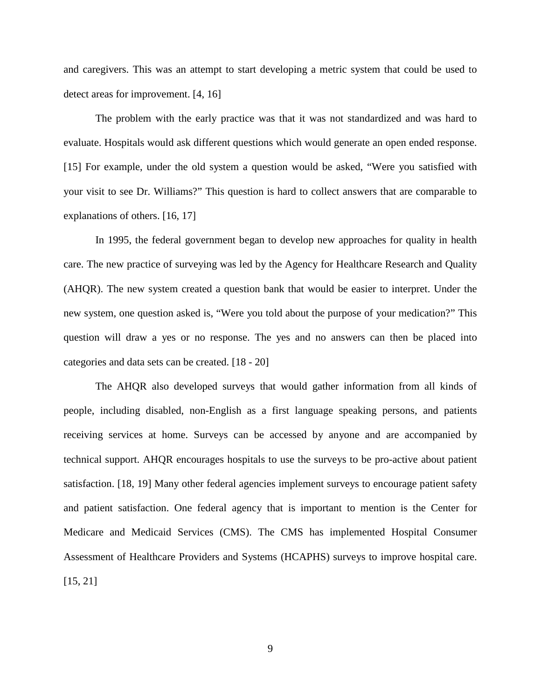and caregivers. This was an attempt to start developing a metric system that could be used to detect areas for improvement. [4, 16]

The problem with the early practice was that it was not standardized and was hard to evaluate. Hospitals would ask different questions which would generate an open ended response. [15] For example, under the old system a question would be asked, "Were you satisfied with your visit to see Dr. Williams?" This question is hard to collect answers that are comparable to explanations of others. [16, 17]

In 1995, the federal government began to develop new approaches for quality in health care. The new practice of surveying was led by the Agency for Healthcare Research and Quality (AHQR). The new system created a question bank that would be easier to interpret. Under the new system, one question asked is, "Were you told about the purpose of your medication?" This question will draw a yes or no response. The yes and no answers can then be placed into categories and data sets can be created. [18 - 20]

The AHQR also developed surveys that would gather information from all kinds of people, including disabled, non-English as a first language speaking persons, and patients receiving services at home. Surveys can be accessed by anyone and are accompanied by technical support. AHQR encourages hospitals to use the surveys to be pro-active about patient satisfaction. [18, 19] Many other federal agencies implement surveys to encourage patient safety and patient satisfaction. One federal agency that is important to mention is the Center for Medicare and Medicaid Services (CMS). The CMS has implemented Hospital Consumer Assessment of Healthcare Providers and Systems (HCAPHS) surveys to improve hospital care. [15, 21]

9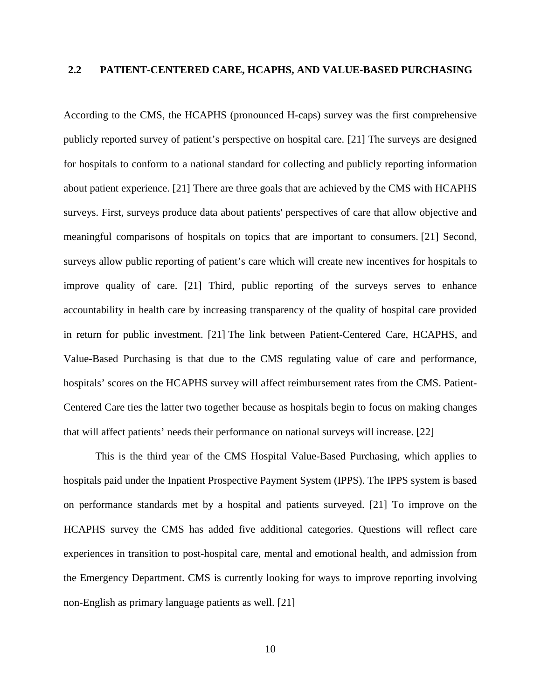#### <span id="page-19-0"></span>**2.2 PATIENT-CENTERED CARE, HCAPHS, AND VALUE-BASED PURCHASING**

According to the CMS, the HCAPHS (pronounced H-caps) survey was the first comprehensive publicly reported survey of patient's perspective on hospital care. [21] The surveys are designed for hospitals to conform to a national standard for collecting and publicly reporting information about patient experience. [21] There are three goals that are achieved by the CMS with HCAPHS surveys. First, surveys produce data about patients' perspectives of care that allow objective and meaningful comparisons of hospitals on topics that are important to consumers. [21] Second, surveys allow public reporting of patient's care which will create new incentives for hospitals to improve quality of care. [21] Third, public reporting of the surveys serves to enhance accountability in health care by increasing transparency of the quality of hospital care provided in return for public investment. [21] The link between Patient-Centered Care, HCAPHS, and Value-Based Purchasing is that due to the CMS regulating value of care and performance, hospitals' scores on the HCAPHS survey will affect reimbursement rates from the CMS. Patient-Centered Care ties the latter two together because as hospitals begin to focus on making changes that will affect patients' needs their performance on national surveys will increase. [22]

This is the third year of the CMS Hospital Value-Based Purchasing, which applies to hospitals paid under the Inpatient Prospective Payment System (IPPS). The IPPS system is based on performance standards met by a hospital and patients surveyed. [21] To improve on the HCAPHS survey the CMS has added five additional categories. Questions will reflect care experiences in transition to post-hospital care, mental and emotional health, and admission from the Emergency Department. CMS is currently looking for ways to improve reporting involving non-English as primary language patients as well. [21]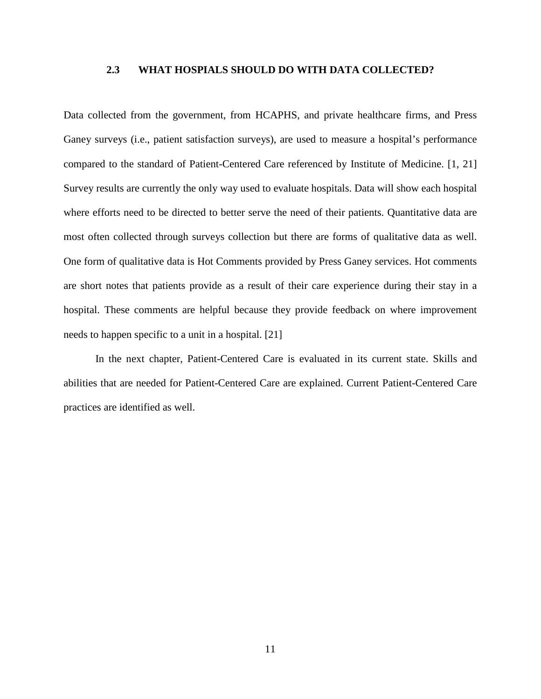#### <span id="page-20-0"></span>**2.3 WHAT HOSPIALS SHOULD DO WITH DATA COLLECTED?**

Data collected from the government, from HCAPHS, and private healthcare firms, and Press Ganey surveys (i.e., patient satisfaction surveys), are used to measure a hospital's performance compared to the standard of Patient-Centered Care referenced by Institute of Medicine. [1, 21] Survey results are currently the only way used to evaluate hospitals. Data will show each hospital where efforts need to be directed to better serve the need of their patients. Quantitative data are most often collected through surveys collection but there are forms of qualitative data as well. One form of qualitative data is Hot Comments provided by Press Ganey services. Hot comments are short notes that patients provide as a result of their care experience during their stay in a hospital. These comments are helpful because they provide feedback on where improvement needs to happen specific to a unit in a hospital. [21]

In the next chapter, Patient-Centered Care is evaluated in its current state. Skills and abilities that are needed for Patient-Centered Care are explained. Current Patient-Centered Care practices are identified as well.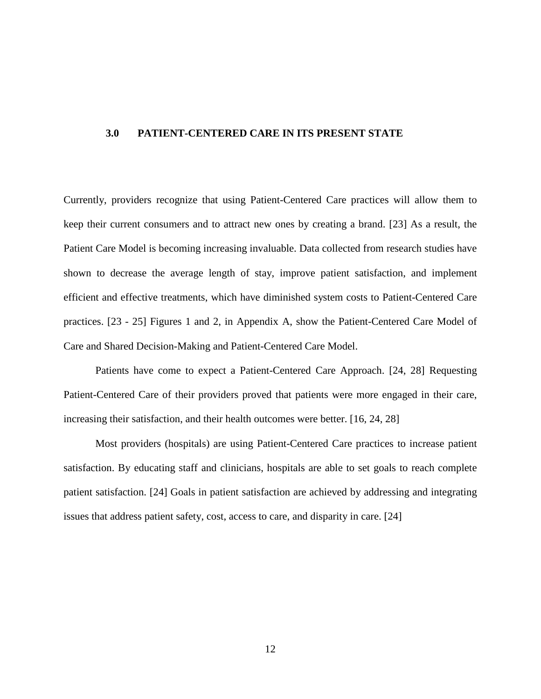#### <span id="page-21-0"></span>**3.0 PATIENT-CENTERED CARE IN ITS PRESENT STATE**

Currently, providers recognize that using Patient-Centered Care practices will allow them to keep their current consumers and to attract new ones by creating a brand. [23] As a result, the Patient Care Model is becoming increasing invaluable. Data collected from research studies have shown to decrease the average length of stay, improve patient satisfaction, and implement efficient and effective treatments, which have diminished system costs to Patient-Centered Care practices. [23 - 25] Figures 1 and 2, in Appendix A, show the Patient-Centered Care Model of Care and Shared Decision-Making and Patient-Centered Care Model.

Patients have come to expect a Patient-Centered Care Approach. [24, 28] Requesting Patient-Centered Care of their providers proved that patients were more engaged in their care, increasing their satisfaction, and their health outcomes were better. [16, 24, 28]

Most providers (hospitals) are using Patient-Centered Care practices to increase patient satisfaction. By educating staff and clinicians, hospitals are able to set goals to reach complete patient satisfaction. [24] Goals in patient satisfaction are achieved by addressing and integrating issues that address patient safety, cost, access to care, and disparity in care. [24]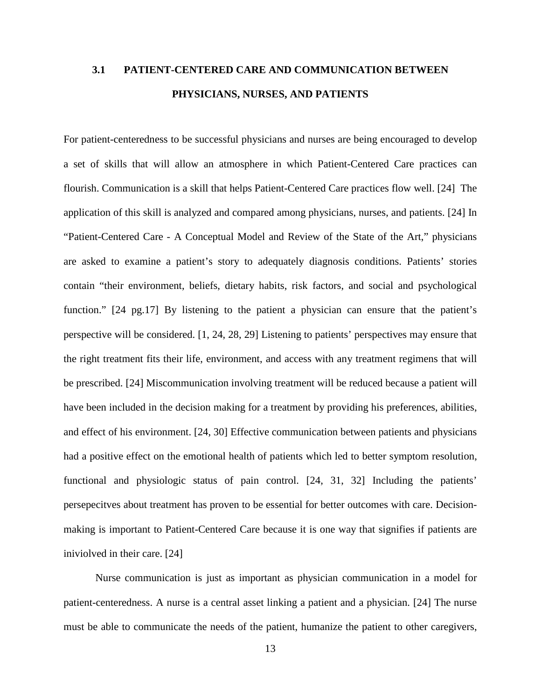# <span id="page-22-0"></span>**3.1 PATIENT-CENTERED CARE AND COMMUNICATION BETWEEN PHYSICIANS, NURSES, AND PATIENTS**

For patient-centeredness to be successful physicians and nurses are being encouraged to develop a set of skills that will allow an atmosphere in which Patient-Centered Care practices can flourish. Communication is a skill that helps Patient-Centered Care practices flow well. [24] The application of this skill is analyzed and compared among physicians, nurses, and patients. [24] In "Patient-Centered Care - A Conceptual Model and Review of the State of the Art," physicians are asked to examine a patient's story to adequately diagnosis conditions. Patients' stories contain "their environment, beliefs, dietary habits, risk factors, and social and psychological function." [24 pg.17] By listening to the patient a physician can ensure that the patient's perspective will be considered. [1, 24, 28, 29] Listening to patients' perspectives may ensure that the right treatment fits their life, environment, and access with any treatment regimens that will be prescribed. [24] Miscommunication involving treatment will be reduced because a patient will have been included in the decision making for a treatment by providing his preferences, abilities, and effect of his environment. [24, 30] Effective communication between patients and physicians had a positive effect on the emotional health of patients which led to better symptom resolution, functional and physiologic status of pain control. [24, 31, 32] Including the patients' persepecitves about treatment has proven to be essential for better outcomes with care. Decisionmaking is important to Patient-Centered Care because it is one way that signifies if patients are iniviolved in their care. [24]

Nurse communication is just as important as physician communication in a model for patient-centeredness. A nurse is a central asset linking a patient and a physician. [24] The nurse must be able to communicate the needs of the patient, humanize the patient to other caregivers,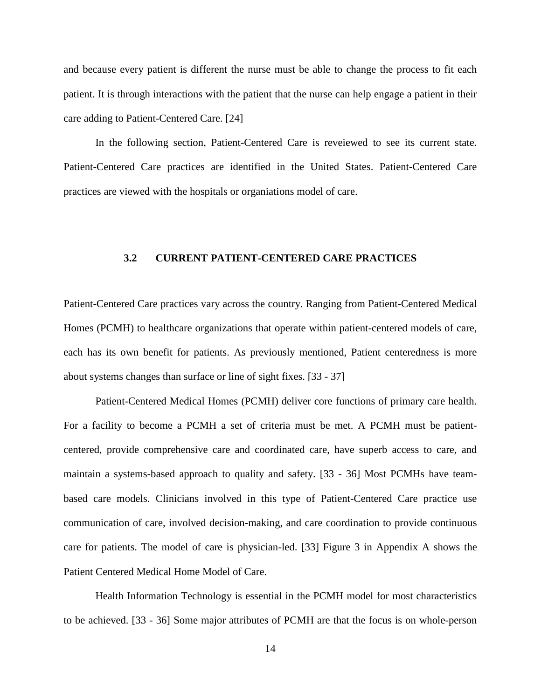and because every patient is different the nurse must be able to change the process to fit each patient. It is through interactions with the patient that the nurse can help engage a patient in their care adding to Patient-Centered Care. [24]

<span id="page-23-0"></span>In the following section, Patient-Centered Care is reveiewed to see its current state. Patient-Centered Care practices are identified in the United States. Patient-Centered Care practices are viewed with the hospitals or organiations model of care.

#### **3.2 CURRENT PATIENT-CENTERED CARE PRACTICES**

Patient-Centered Care practices vary across the country. Ranging from Patient-Centered Medical Homes (PCMH) to healthcare organizations that operate within patient-centered models of care, each has its own benefit for patients. As previously mentioned, Patient centeredness is more about systems changes than surface or line of sight fixes. [33 - 37]

Patient-Centered Medical Homes (PCMH) deliver core functions of primary care health. For a facility to become a PCMH a set of criteria must be met. A PCMH must be patientcentered, provide comprehensive care and coordinated care, have superb access to care, and maintain a systems-based approach to quality and safety. [33 - 36] Most PCMHs have teambased care models. Clinicians involved in this type of Patient-Centered Care practice use communication of care, involved decision-making, and care coordination to provide continuous care for patients. The model of care is physician-led. [33] Figure 3 in Appendix A shows the Patient Centered Medical Home Model of Care.

Health Information Technology is essential in the PCMH model for most characteristics to be achieved. [33 - 36] Some major attributes of PCMH are that the focus is on whole-person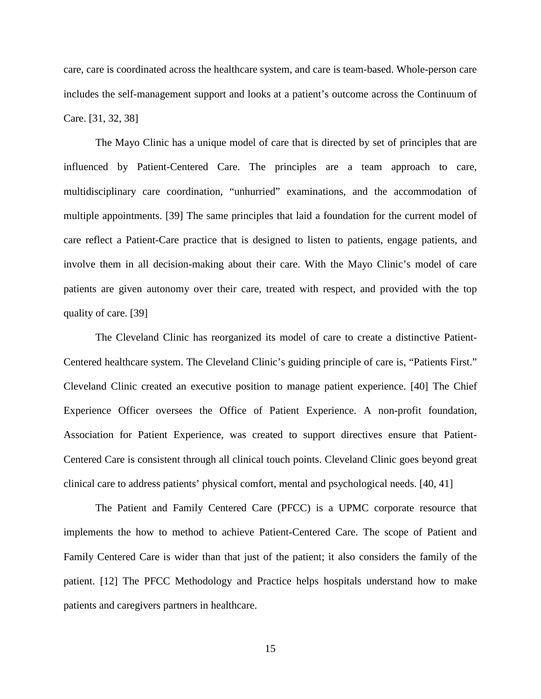care, care is coordinated across the healthcare system, and care is team-based. Whole-person care includes the self-management support and looks at a patient's outcome across the Continuum of Care. [31, 32, 38]

The Mayo Clinic has a unique model of care that is directed by set of principles that are influenced by Patient-Centered Care. The principles are a team approach to care, multidisciplinary care coordination, "unhurried" examinations, and the accommodation of multiple appointments. [39] The same principles that laid a foundation for the current model of care reflect a Patient-Care practice that is designed to listen to patients, engage patients, and involve them in all decision-making about their care. With the Mayo Clinic's model of care patients are given autonomy over their care, treated with respect, and provided with the top quality of care. [39]

The Cleveland Clinic has reorganized its model of care to create a distinctive Patient-Centered healthcare system. The Cleveland Clinic's guiding principle of care is, "Patients First." Cleveland Clinic created an executive position to manage patient experience. [40] The Chief Experience Officer oversees the Office of Patient Experience. A non-profit foundation, Association for Patient Experience, was created to support directives ensure that Patient-Centered Care is consistent through all clinical touch points. Cleveland Clinic goes beyond great clinical care to address patients' physical comfort, mental and psychological needs. [40, 41]

The Patient and Family Centered Care (PFCC) is a UPMC corporate resource that implements the how to method to achieve Patient-Centered Care. The scope of Patient and Family Centered Care is wider than that just of the patient; it also considers the family of the patient. [12] The PFCC Methodology and Practice helps hospitals understand how to make patients and caregivers partners in healthcare.

15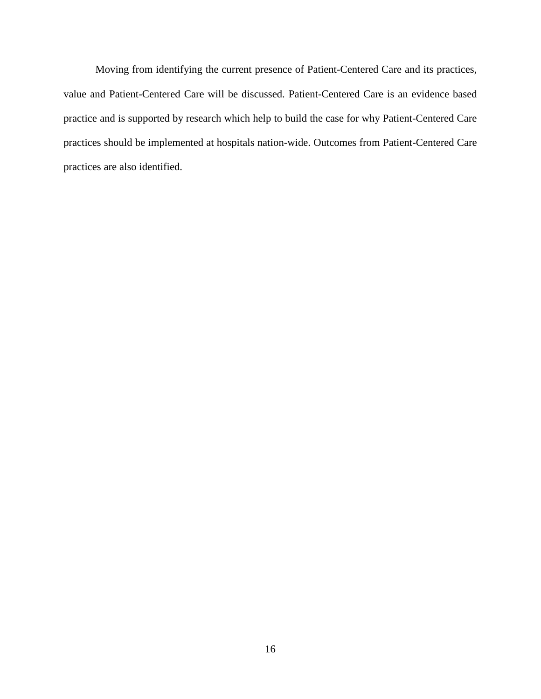Moving from identifying the current presence of Patient-Centered Care and its practices, value and Patient-Centered Care will be discussed. Patient-Centered Care is an evidence based practice and is supported by research which help to build the case for why Patient-Centered Care practices should be implemented at hospitals nation-wide. Outcomes from Patient-Centered Care practices are also identified.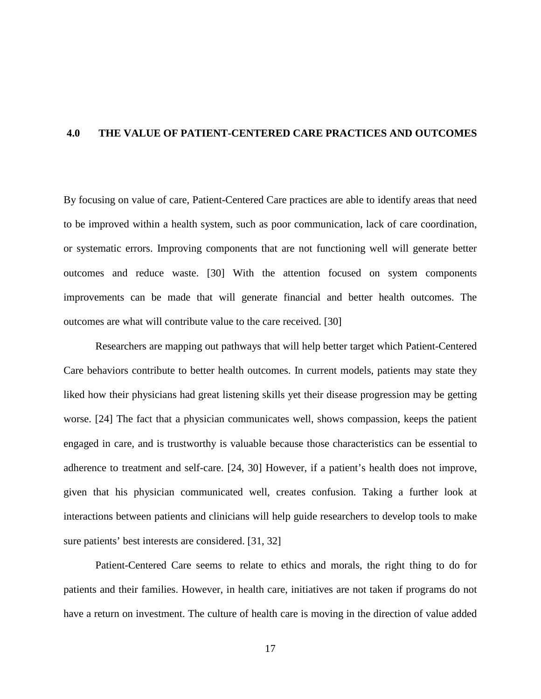#### <span id="page-26-0"></span>**4.0 THE VALUE OF PATIENT-CENTERED CARE PRACTICES AND OUTCOMES**

By focusing on value of care, Patient-Centered Care practices are able to identify areas that need to be improved within a health system, such as poor communication, lack of care coordination, or systematic errors. Improving components that are not functioning well will generate better outcomes and reduce waste. [30] With the attention focused on system components improvements can be made that will generate financial and better health outcomes. The outcomes are what will contribute value to the care received. [30]

Researchers are mapping out pathways that will help better target which Patient-Centered Care behaviors contribute to better health outcomes. In current models, patients may state they liked how their physicians had great listening skills yet their disease progression may be getting worse. [24] The fact that a physician communicates well, shows compassion, keeps the patient engaged in care, and is trustworthy is valuable because those characteristics can be essential to adherence to treatment and self-care. [24, 30] However, if a patient's health does not improve, given that his physician communicated well, creates confusion. Taking a further look at interactions between patients and clinicians will help guide researchers to develop tools to make sure patients' best interests are considered. [31, 32]

Patient-Centered Care seems to relate to ethics and morals, the right thing to do for patients and their families. However, in health care, initiatives are not taken if programs do not have a return on investment. The culture of health care is moving in the direction of value added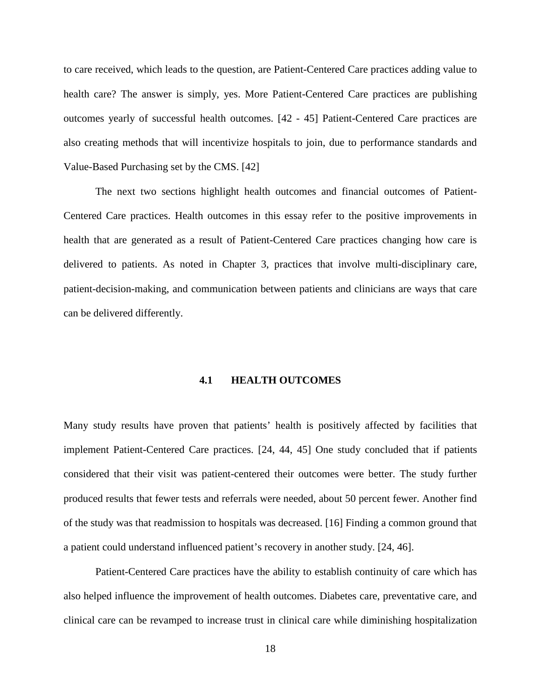to care received, which leads to the question, are Patient-Centered Care practices adding value to health care? The answer is simply, yes. More Patient-Centered Care practices are publishing outcomes yearly of successful health outcomes. [42 - 45] Patient-Centered Care practices are also creating methods that will incentivize hospitals to join, due to performance standards and Value-Based Purchasing set by the CMS. [42]

The next two sections highlight health outcomes and financial outcomes of Patient-Centered Care practices. Health outcomes in this essay refer to the positive improvements in health that are generated as a result of Patient-Centered Care practices changing how care is delivered to patients. As noted in Chapter 3, practices that involve multi-disciplinary care, patient-decision-making, and communication between patients and clinicians are ways that care can be delivered differently.

#### **4.1 HEALTH OUTCOMES**

<span id="page-27-0"></span>Many study results have proven that patients' health is positively affected by facilities that implement Patient-Centered Care practices. [24, 44, 45] One study concluded that if patients considered that their visit was patient-centered their outcomes were better. The study further produced results that fewer tests and referrals were needed, about 50 percent fewer. Another find of the study was that readmission to hospitals was decreased. [16] Finding a common ground that a patient could understand influenced patient's recovery in another study. [24, 46].

Patient-Centered Care practices have the ability to establish continuity of care which has also helped influence the improvement of health outcomes. Diabetes care, preventative care, and clinical care can be revamped to increase trust in clinical care while diminishing hospitalization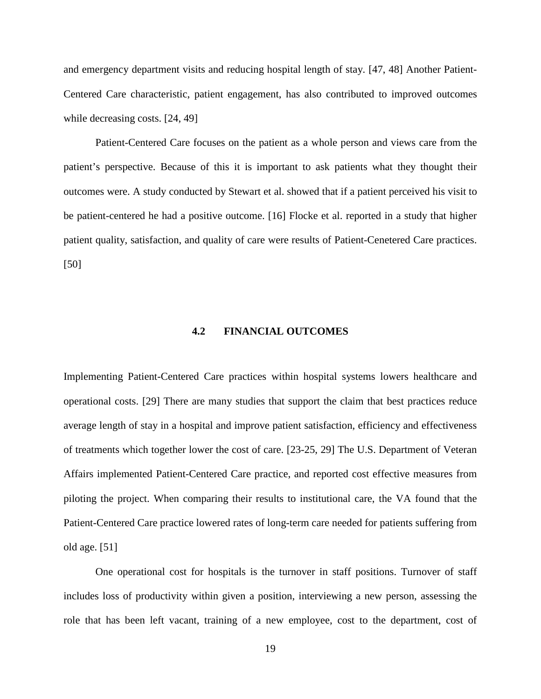and emergency department visits and reducing hospital length of stay. [47, 48] Another Patient-Centered Care characteristic, patient engagement, has also contributed to improved outcomes while decreasing costs. [24, 49]

Patient-Centered Care focuses on the patient as a whole person and views care from the patient's perspective. Because of this it is important to ask patients what they thought their outcomes were. A study conducted by Stewart et al. showed that if a patient perceived his visit to be patient-centered he had a positive outcome. [16] Flocke et al. reported in a study that higher patient quality, satisfaction, and quality of care were results of Patient-Cenetered Care practices. [50]

#### **4.2 FINANCIAL OUTCOMES**

<span id="page-28-0"></span>Implementing Patient-Centered Care practices within hospital systems lowers healthcare and operational costs. [29] There are many studies that support the claim that best practices reduce average length of stay in a hospital and improve patient satisfaction, efficiency and effectiveness of treatments which together lower the cost of care. [23-25, 29] The U.S. Department of Veteran Affairs implemented Patient-Centered Care practice, and reported cost effective measures from piloting the project. When comparing their results to institutional care, the VA found that the Patient-Centered Care practice lowered rates of long-term care needed for patients suffering from old age. [51]

One operational cost for hospitals is the turnover in staff positions. Turnover of staff includes loss of productivity within given a position, interviewing a new person, assessing the role that has been left vacant, training of a new employee, cost to the department, cost of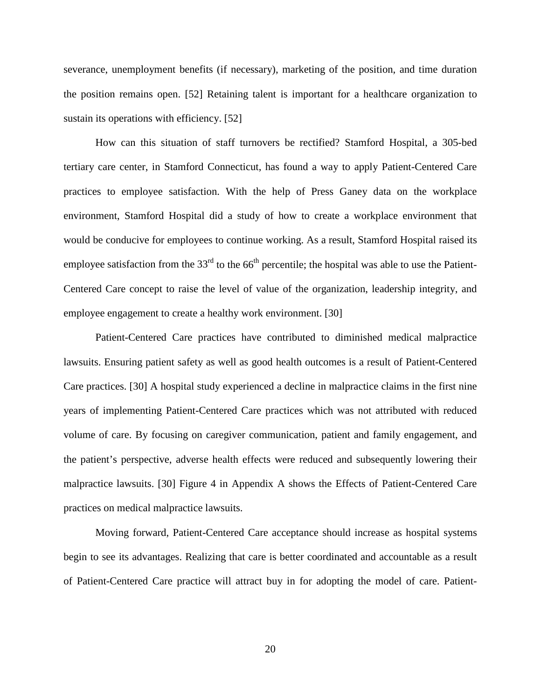severance, unemployment benefits (if necessary), marketing of the position, and time duration the position remains open. [52] Retaining talent is important for a healthcare organization to sustain its operations with efficiency. [52]

How can this situation of staff turnovers be rectified? Stamford Hospital, a 305-bed tertiary care center, in Stamford Connecticut, has found a way to apply Patient-Centered Care practices to employee satisfaction. With the help of Press Ganey data on the workplace environment, Stamford Hospital did a study of how to create a workplace environment that would be conducive for employees to continue working. As a result, Stamford Hospital raised its employee satisfaction from the  $33<sup>rd</sup>$  to the 66<sup>th</sup> percentile; the hospital was able to use the Patient-Centered Care concept to raise the level of value of the organization, leadership integrity, and employee engagement to create a healthy work environment. [30]

Patient-Centered Care practices have contributed to diminished medical malpractice lawsuits. Ensuring patient safety as well as good health outcomes is a result of Patient-Centered Care practices. [30] A hospital study experienced a decline in malpractice claims in the first nine years of implementing Patient-Centered Care practices which was not attributed with reduced volume of care. By focusing on caregiver communication, patient and family engagement, and the patient's perspective, adverse health effects were reduced and subsequently lowering their malpractice lawsuits. [30] Figure 4 in Appendix A shows the Effects of Patient-Centered Care practices on medical malpractice lawsuits.

Moving forward, Patient-Centered Care acceptance should increase as hospital systems begin to see its advantages. Realizing that care is better coordinated and accountable as a result of Patient-Centered Care practice will attract buy in for adopting the model of care. Patient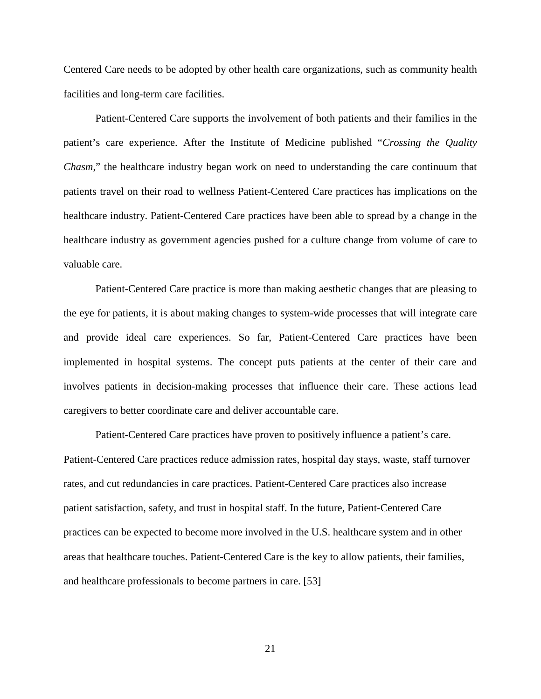Centered Care needs to be adopted by other health care organizations, such as community health facilities and long-term care facilities.

Patient-Centered Care supports the involvement of both patients and their families in the patient's care experience. After the Institute of Medicine published "*Crossing the Quality Chasm*," the healthcare industry began work on need to understanding the care continuum that patients travel on their road to wellness Patient-Centered Care practices has implications on the healthcare industry. Patient-Centered Care practices have been able to spread by a change in the healthcare industry as government agencies pushed for a culture change from volume of care to valuable care.

Patient-Centered Care practice is more than making aesthetic changes that are pleasing to the eye for patients, it is about making changes to system-wide processes that will integrate care and provide ideal care experiences. So far, Patient-Centered Care practices have been implemented in hospital systems. The concept puts patients at the center of their care and involves patients in decision-making processes that influence their care. These actions lead caregivers to better coordinate care and deliver accountable care.

Patient-Centered Care practices have proven to positively influence a patient's care. Patient-Centered Care practices reduce admission rates, hospital day stays, waste, staff turnover rates, and cut redundancies in care practices. Patient-Centered Care practices also increase patient satisfaction, safety, and trust in hospital staff. In the future, Patient-Centered Care practices can be expected to become more involved in the U.S. healthcare system and in other areas that healthcare touches. Patient-Centered Care is the key to allow patients, their families, and healthcare professionals to become partners in care. [53]

21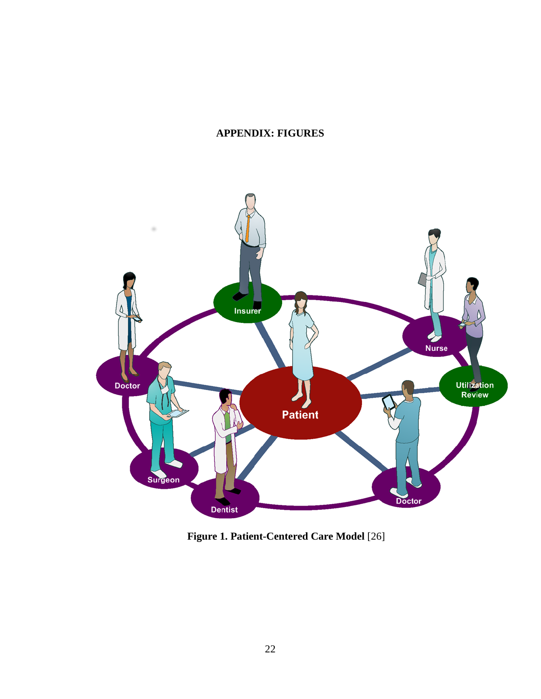## <span id="page-31-0"></span>**APPENDIX: FIGURES**



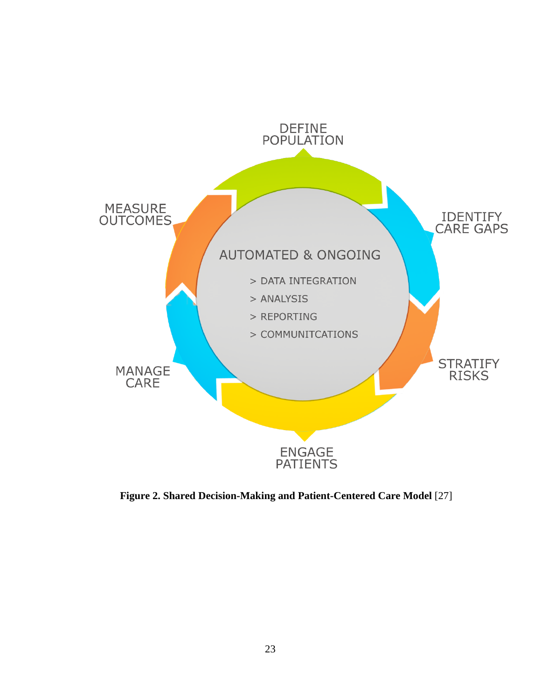

**Figure 2. Shared Decision-Making and Patient-Centered Care Model** [27]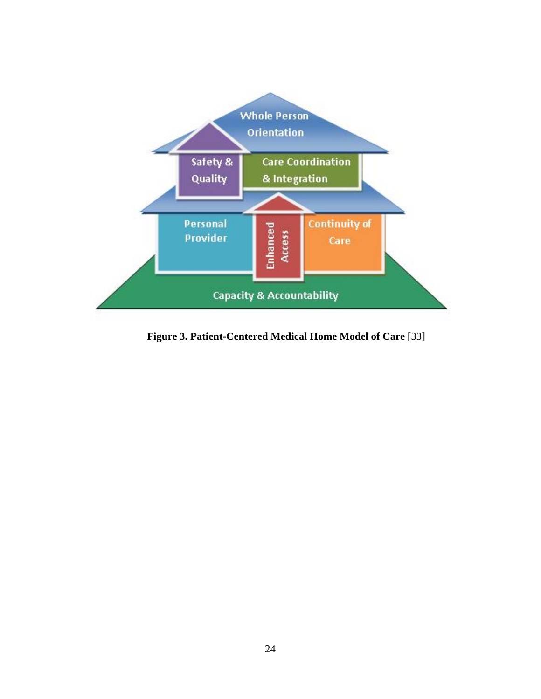

**Figure 3. Patient-Centered Medical Home Model of Care** [33]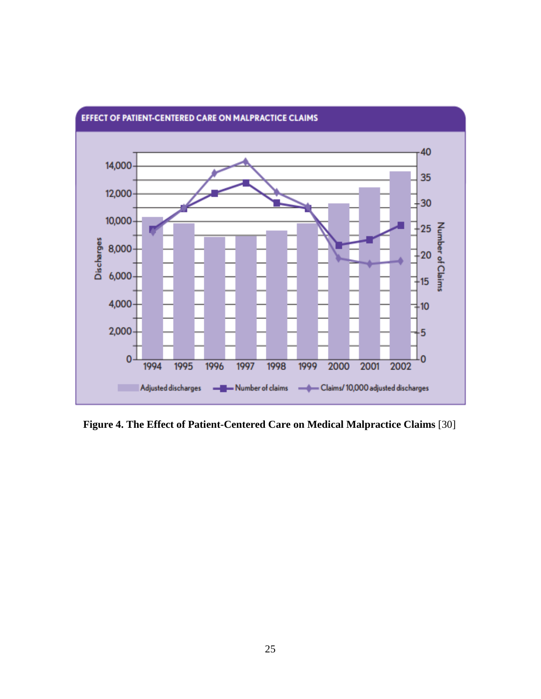

EFFECT OF PATIENT-CENTERED CARE ON MALPRACTICE CLAIMS

**Figure 4. The Effect of Patient-Centered Care on Medical Malpractice Claims** [30]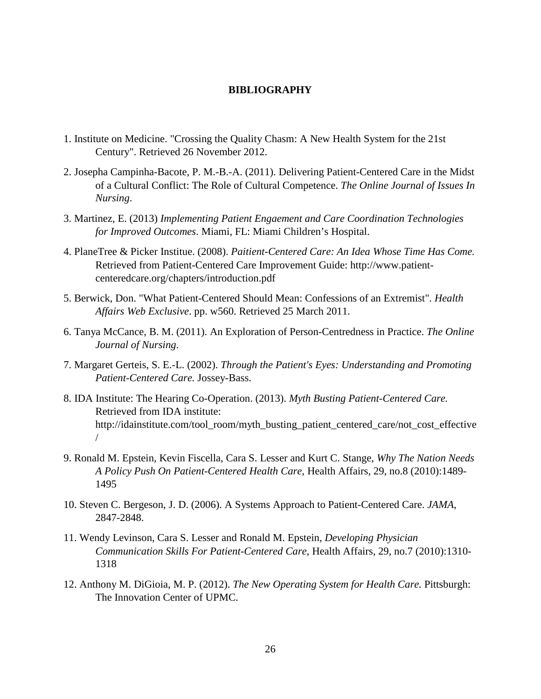#### **BIBLIOGRAPHY**

- <span id="page-35-0"></span>1. Institute on Medicine. "Crossing the Quality Chasm: A New Health System for the 21st Century". Retrieved 26 November 2012.
- 2. Josepha Campinha-Bacote, P. M.-B.-A. (2011). Delivering Patient-Centered Care in the Midst of a Cultural Conflict: The Role of Cultural Competence. *The Online Journal of Issues In Nursing*.
- 3. Martinez, E. (2013) *Implementing Patient Engaement and Care Coordination Technologies for Improved Outcomes*. Miami, FL: Miami Children's Hospital.
- 4. PlaneTree & Picker Institue. (2008). *Paitient-Centered Care: An Idea Whose Time Has Come.* Retrieved from Patient-Centered Care Improvement Guide: http://www.patientcenteredcare.org/chapters/introduction.pdf
- 5. Berwick, Don. "What Patient-Centered Should Mean: Confessions of an Extremist". *Health Affairs Web Exclusive*. pp. w560. Retrieved 25 March 2011.
- 6. Tanya McCance, B. M. (2011). An Exploration of Person-Centredness in Practice. *The Online Journal of Nursing*.
- 7. Margaret Gerteis, S. E.-L. (2002). *Through the Patient's Eyes: Understanding and Promoting Patient-Centered Care.* Jossey-Bass.
- 8. IDA Institute: The Hearing Co-Operation. (2013). *Myth Busting Patient-Centered Care.* Retrieved from IDA institute: http://idainstitute.com/tool\_room/myth\_busting\_patient\_centered\_care/not\_cost\_effective /
- 9. Ronald M. Epstein, Kevin Fiscella, Cara S. Lesser and Kurt C. Stange, *Why The Nation Needs A Policy Push On Patient-Centered Health Care*, Health Affairs, 29, no.8 (2010):1489- 1495
- 10. Steven C. Bergeson, J. D. (2006). A Systems Approach to Patient-Centered Care. *JAMA*, 2847-2848.
- 11. Wendy Levinson, Cara S. Lesser and Ronald M. Epstein, *Developing Physician Communication Skills For Patient-Centered Care*, Health Affairs, 29, no.7 (2010):1310- 1318
- 12. Anthony M. DiGioia, M. P. (2012). *The New Operating System for Health Care.* Pittsburgh: The Innovation Center of UPMC.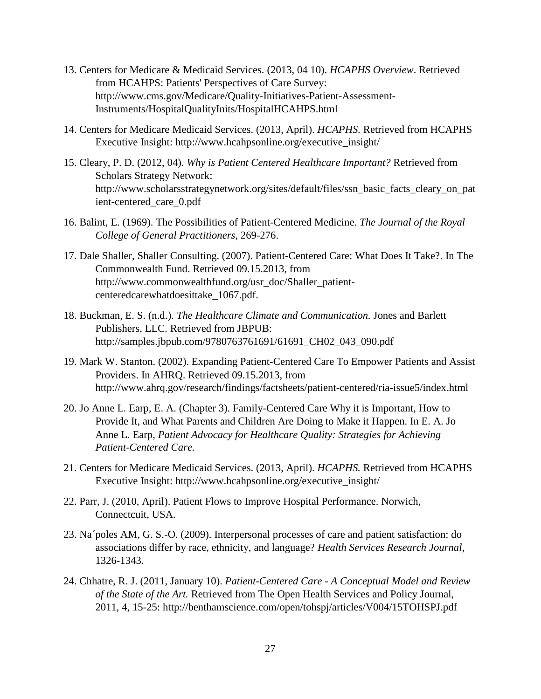- 13. Centers for Medicare & Medicaid Services. (2013, 04 10). *HCAPHS Overview*. Retrieved from HCAHPS: Patients' Perspectives of Care Survey: http://www.cms.gov/Medicare/Quality-Initiatives-Patient-Assessment-Instruments/HospitalQualityInits/HospitalHCAHPS.html
- 14. Centers for Medicare Medicaid Services. (2013, April). *HCAPHS.* Retrieved from HCAPHS Executive Insight: http://www.hcahpsonline.org/executive\_insight/
- 15. Cleary, P. D. (2012, 04). *Why is Patient Centered Healthcare Important?* Retrieved from Scholars Strategy Network: http://www.scholarsstrategynetwork.org/sites/default/files/ssn\_basic\_facts\_cleary\_on\_pat ient-centered\_care\_0.pdf
- 16. Balint, E. (1969). The Possibilities of Patient-Centered Medicine. *The Journal of the Royal College of General Practitioners*, 269-276.
- 17. Dale Shaller, Shaller Consulting. (2007). Patient-Centered Care: What Does It Take?. In The Commonwealth Fund. Retrieved 09.15.2013, from http://www.commonwealthfund.org/usr\_doc/Shaller\_patientcenteredcarewhatdoesittake\_1067.pdf.
- 18. Buckman, E. S. (n.d.). *The Healthcare Climate and Communication.* Jones and Barlett Publishers, LLC. Retrieved from JBPUB: http://samples.jbpub.com/9780763761691/61691\_CH02\_043\_090.pdf
- 19. Mark W. Stanton. (2002). Expanding Patient-Centered Care To Empower Patients and Assist Providers. In AHRQ. Retrieved 09.15.2013, from http://www.ahrq.gov/research/findings/factsheets/patient-centered/ria-issue5/index.html
- 20. Jo Anne L. Earp, E. A. (Chapter 3). Family-Centered Care Why it is Important, How to Provide It, and What Parents and Children Are Doing to Make it Happen. In E. A. Jo Anne L. Earp, *Patient Advocacy for Healthcare Quality: Strategies for Achieving Patient-Centered Care.*
- 21. Centers for Medicare Medicaid Services. (2013, April). *HCAPHS.* Retrieved from HCAPHS Executive Insight: http://www.hcahpsonline.org/executive\_insight/
- 22. Parr, J. (2010, April). Patient Flows to Improve Hospital Performance. Norwich, Connectcuit, USA.
- 23. Na´poles AM, G. S.-O. (2009). Interpersonal processes of care and patient satisfaction: do associations differ by race, ethnicity, and language? *Health Services Research Journal*, 1326-1343.
- 24. Chhatre, R. J. (2011, January 10). *Patient-Centered Care - A Conceptual Model and Review of the State of the Art.* Retrieved from The Open Health Services and Policy Journal, 2011, 4, 15-25: http://benthamscience.com/open/tohspj/articles/V004/15TOHSPJ.pdf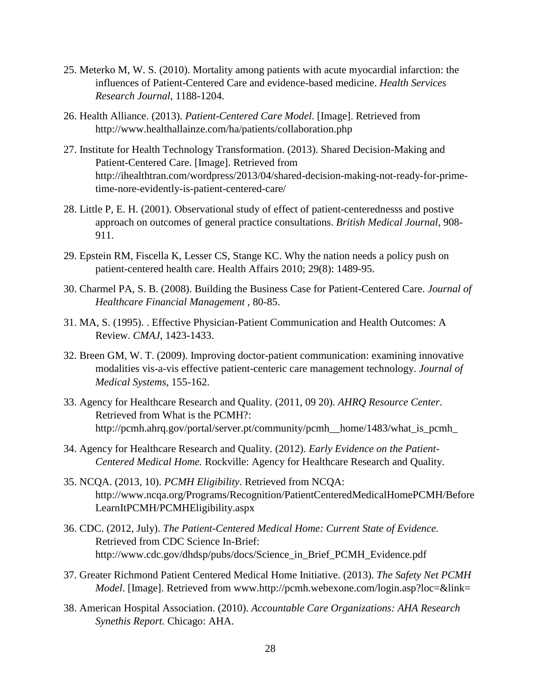- 25. Meterko M, W. S. (2010). Mortality among patients with acute myocardial infarction: the influences of Patient-Centered Care and evidence-based medicine. *Health Services Research Journal*, 1188-1204.
- 26. Health Alliance. (2013). *Patient-Centered Care Model*. [Image]. Retrieved from http://www.healthallainze.com/ha/patients/collaboration.php
- 27. Institute for Health Technology Transformation. (2013). Shared Decision-Making and Patient-Centered Care. [Image]. Retrieved from http://ihealthtran.com/wordpress/2013/04/shared-decision-making-not-ready-for-primetime-nore-evidently-is-patient-centered-care/
- 28. Little P, E. H. (2001). Observational study of effect of patient-centerednesss and postive approach on outcomes of general practice consultations. *British Medical Journal*, 908- 911.
- 29. Epstein RM, Fiscella K, Lesser CS, Stange KC. Why the nation needs a policy push on patient-centered health care. Health Affairs 2010; 29(8): 1489-95.
- 30. Charmel PA, S. B. (2008). Building the Business Case for Patient-Centered Care. *Journal of Healthcare Financial Management* , 80-85.
- 31. MA, S. (1995). . Effective Physician-Patient Communication and Health Outcomes: A Review. *CMAJ*, 1423-1433.
- 32. Breen GM, W. T. (2009). Improving doctor-patient communication: examining innovative modalities vis-a-vis effective patient-centeric care management technology. *Journal of Medical Systems*, 155-162.
- 33. Agency for Healthcare Research and Quality. (2011, 09 20). *AHRQ Resource Center*. Retrieved from What is the PCMH?: http://pcmh.ahrq.gov/portal/server.pt/community/pcmh\_\_home/1483/what\_is\_pcmh\_
- 34. Agency for Healthcare Research and Quality. (2012). *Early Evidence on the Patient-Centered Medical Home.* Rockville: Agency for Healthcare Research and Quality.
- 35. NCQA. (2013, 10). *PCMH Eligibility*. Retrieved from NCQA: http://www.ncqa.org/Programs/Recognition/PatientCenteredMedicalHomePCMH/Before LearnItPCMH/PCMHEligibility.aspx
- 36. CDC. (2012, July). *The Patient-Centered Medical Home: Current State of Evidence.* Retrieved from CDC Science In-Brief: http://www.cdc.gov/dhdsp/pubs/docs/Science\_in\_Brief\_PCMH\_Evidence.pdf
- 37. Greater Richmond Patient Centered Medical Home Initiative. (2013). *The Safety Net PCMH Model*. [Image]. Retrieved from www.http://pcmh.webexone.com/login.asp?loc=&link=
- 38. American Hospital Association. (2010). *Accountable Care Organizations: AHA Research Synethis Report.* Chicago: AHA.